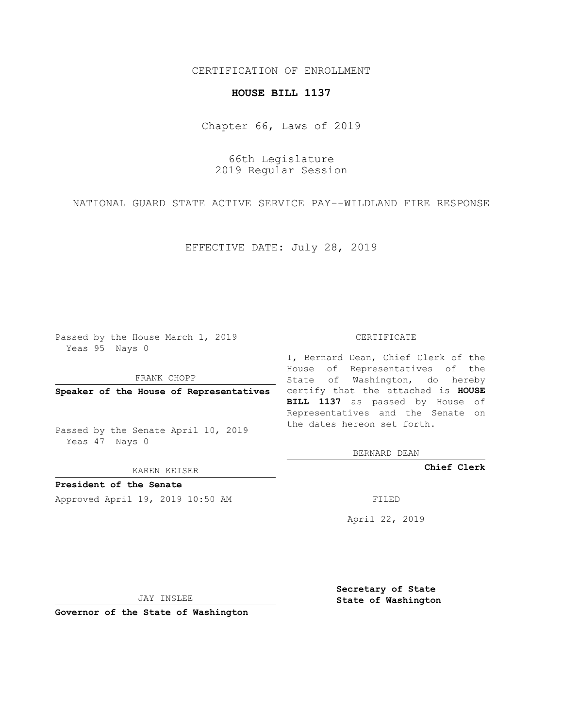# CERTIFICATION OF ENROLLMENT

### **HOUSE BILL 1137**

Chapter 66, Laws of 2019

66th Legislature 2019 Regular Session

NATIONAL GUARD STATE ACTIVE SERVICE PAY--WILDLAND FIRE RESPONSE

EFFECTIVE DATE: July 28, 2019

Passed by the House March 1, 2019 Yeas 95 Nays 0

FRANK CHOPP

Passed by the Senate April 10, 2019 Yeas 47 Nays 0

KAREN KEISER

**President of the Senate**

Approved April 19, 2019 10:50 AM FILED

#### CERTIFICATE

**Speaker of the House of Representatives** certify that the attached is **HOUSE** I, Bernard Dean, Chief Clerk of the House of Representatives of the State of Washington, do hereby **BILL 1137** as passed by House of Representatives and the Senate on the dates hereon set forth.

BERNARD DEAN

**Chief Clerk**

April 22, 2019

JAY INSLEE

**Governor of the State of Washington**

**Secretary of State State of Washington**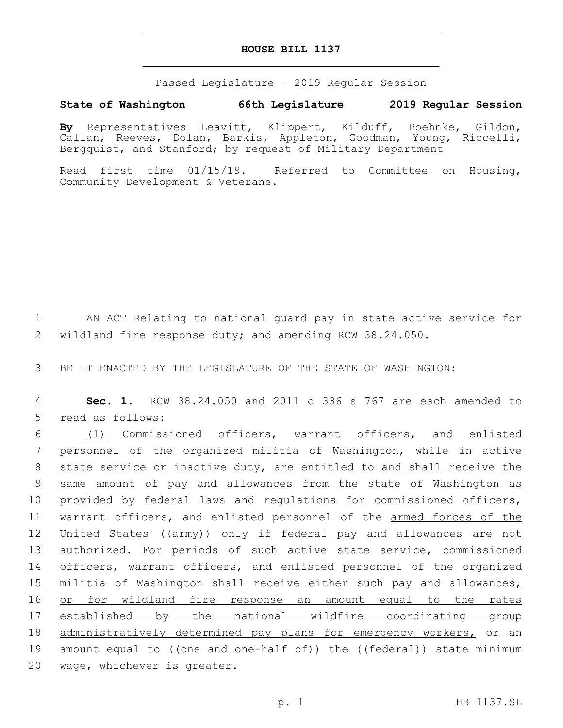## **HOUSE BILL 1137**

Passed Legislature - 2019 Regular Session

# **State of Washington 66th Legislature 2019 Regular Session**

**By** Representatives Leavitt, Klippert, Kilduff, Boehnke, Gildon, Callan, Reeves, Dolan, Barkis, Appleton, Goodman, Young, Riccelli, Bergquist, and Stanford; by request of Military Department

Read first time 01/15/19. Referred to Committee on Housing, Community Development & Veterans.

1 AN ACT Relating to national guard pay in state active service for 2 wildland fire response duty; and amending RCW 38.24.050.

3 BE IT ENACTED BY THE LEGISLATURE OF THE STATE OF WASHINGTON:

4 **Sec. 1.** RCW 38.24.050 and 2011 c 336 s 767 are each amended to 5 read as follows:

6 (1) Commissioned officers, warrant officers, and enlisted 7 personnel of the organized militia of Washington, while in active 8 state service or inactive duty, are entitled to and shall receive the 9 same amount of pay and allowances from the state of Washington as 10 provided by federal laws and regulations for commissioned officers, 11 warrant officers, and enlisted personnel of the armed forces of the 12 United States ((army)) only if federal pay and allowances are not 13 authorized. For periods of such active state service, commissioned 14 officers, warrant officers, and enlisted personnel of the organized 15 militia of Washington shall receive either such pay and allowances $<sub>L</sub>$ </sub> 16 or for wildland fire response an amount equal to the rates 17 established by the national wildfire coordinating group 18 administratively determined pay plans for emergency workers, or an 19 amount equal to ((<del>one and one-half of</del>)) the ((<del>federal</del>)) state minimum 20 wage, whichever is greater.